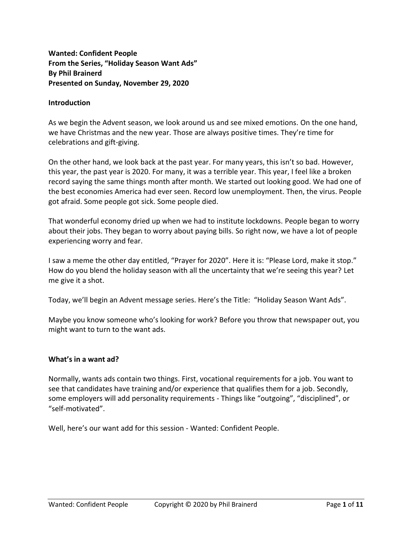**Wanted: Confident People From the Series, "Holiday Season Want Ads" By Phil Brainerd Presented on Sunday, November 29, 2020**

#### **Introduction**

As we begin the Advent season, we look around us and see mixed emotions. On the one hand, we have Christmas and the new year. Those are always positive times. They're time for celebrations and gift-giving.

On the other hand, we look back at the past year. For many years, this isn't so bad. However, this year, the past year is 2020. For many, it was a terrible year. This year, I feel like a broken record saying the same things month after month. We started out looking good. We had one of the best economies America had ever seen. Record low unemployment. Then, the virus. People got afraid. Some people got sick. Some people died.

That wonderful economy dried up when we had to institute lockdowns. People began to worry about their jobs. They began to worry about paying bills. So right now, we have a lot of people experiencing worry and fear.

I saw a meme the other day entitled, "Prayer for 2020". Here it is: "Please Lord, make it stop." How do you blend the holiday season with all the uncertainty that we're seeing this year? Let me give it a shot.

Today, we'll begin an Advent message series. Here's the Title: "Holiday Season Want Ads".

Maybe you know someone who's looking for work? Before you throw that newspaper out, you might want to turn to the want ads.

#### **What's in a want ad?**

Normally, wants ads contain two things. First, vocational requirements for a job. You want to see that candidates have training and/or experience that qualifies them for a job. Secondly, some employers will add personality requirements - Things like "outgoing", "disciplined", or "self-motivated".

Well, here's our want add for this session - Wanted: Confident People.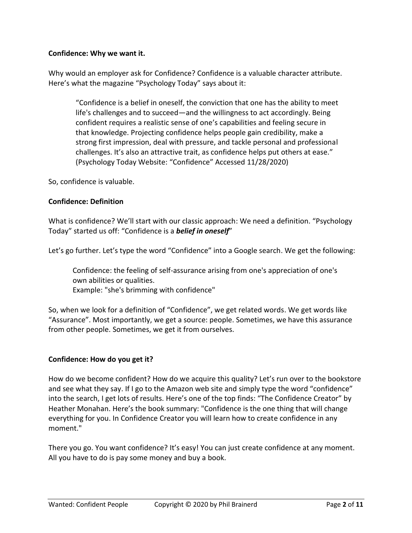## **Confidence: Why we want it.**

Why would an employer ask for Confidence? Confidence is a valuable character attribute. Here's what the magazine "Psychology Today" says about it:

"Confidence is a belief in oneself, the conviction that one has the ability to meet life's challenges and to succeed—and the willingness to act accordingly. Being confident requires a realistic sense of one's capabilities and feeling secure in that knowledge. Projecting confidence helps people gain credibility, make a strong first impression, deal with pressure, and tackle personal and professional challenges. It's also an attractive trait, as confidence helps put others at ease." (Psychology Today Website: "Confidence" Accessed 11/28/2020)

So, confidence is valuable.

## **Confidence: Definition**

What is confidence? We'll start with our classic approach: We need a definition. "Psychology Today" started us off: "Confidence is a *belief in oneself*"

Let's go further. Let's type the word "Confidence" into a Google search. We get the following:

Confidence: the feeling of self-assurance arising from one's appreciation of one's own abilities or qualities. Example: "she's brimming with confidence"

So, when we look for a definition of "Confidence", we get related words. We get words like "Assurance". Most importantly, we get a source: people. Sometimes, we have this assurance from other people. Sometimes, we get it from ourselves.

# **Confidence: How do you get it?**

How do we become confident? How do we acquire this quality? Let's run over to the bookstore and see what they say. If I go to the Amazon web site and simply type the word "confidence" into the search, I get lots of results. Here's one of the top finds: "The Confidence Creator" by Heather Monahan. Here's the book summary: "Confidence is the one thing that will change everything for you. In Confidence Creator you will learn how to create confidence in any moment."

There you go. You want confidence? It's easy! You can just create confidence at any moment. All you have to do is pay some money and buy a book.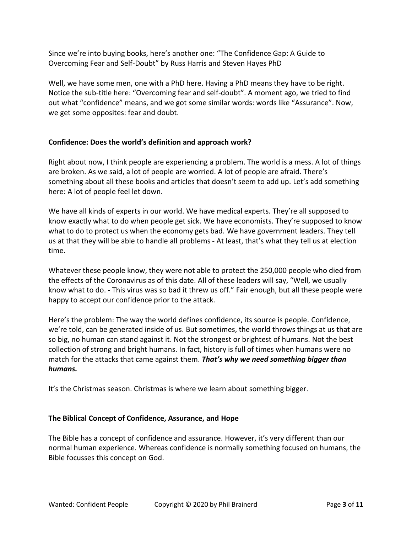Since we're into buying books, here's another one: "The Confidence Gap: A Guide to Overcoming Fear and Self-Doubt" by Russ Harris and Steven Hayes PhD

Well, we have some men, one with a PhD here. Having a PhD means they have to be right. Notice the sub-title here: "Overcoming fear and self-doubt". A moment ago, we tried to find out what "confidence" means, and we got some similar words: words like "Assurance". Now, we get some opposites: fear and doubt.

# **Confidence: Does the world's definition and approach work?**

Right about now, I think people are experiencing a problem. The world is a mess. A lot of things are broken. As we said, a lot of people are worried. A lot of people are afraid. There's something about all these books and articles that doesn't seem to add up. Let's add something here: A lot of people feel let down.

We have all kinds of experts in our world. We have medical experts. They're all supposed to know exactly what to do when people get sick. We have economists. They're supposed to know what to do to protect us when the economy gets bad. We have government leaders. They tell us at that they will be able to handle all problems - At least, that's what they tell us at election time.

Whatever these people know, they were not able to protect the 250,000 people who died from the effects of the Coronavirus as of this date. All of these leaders will say, "Well, we usually know what to do. - This virus was so bad it threw us off." Fair enough, but all these people were happy to accept our confidence prior to the attack.

Here's the problem: The way the world defines confidence, its source is people. Confidence, we're told, can be generated inside of us. But sometimes, the world throws things at us that are so big, no human can stand against it. Not the strongest or brightest of humans. Not the best collection of strong and bright humans. In fact, history is full of times when humans were no match for the attacks that came against them. *That's why we need something bigger than humans.*

It's the Christmas season. Christmas is where we learn about something bigger.

# **The Biblical Concept of Confidence, Assurance, and Hope**

The Bible has a concept of confidence and assurance. However, it's very different than our normal human experience. Whereas confidence is normally something focused on humans, the Bible focusses this concept on God.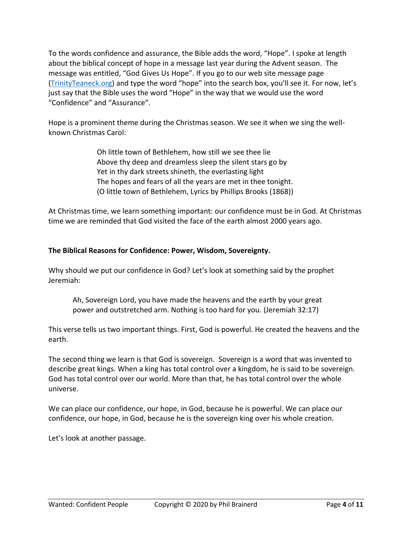To the words confidence and assurance, the Bible adds the word, "Hope". I spoke at length about the biblical concept of hope in a message last year during the Advent season. The message was entitled, "God Gives Us Hope". If you go to our web site message page [\(TrinityTeaneck.org\)](https://trinityteaneck.org/MessagesOnline.html) and type the word "hope" into the search box, you'll see it. For now, let's just say that the Bible uses the word "Hope" in the way that we would use the word "Confidence" and "Assurance".

Hope is a prominent theme during the Christmas season. We see it when we sing the wellknown Christmas Carol:

> Oh little town of Bethlehem, how still we see thee lie Above thy deep and dreamless sleep the silent stars go by Yet in thy dark streets shineth, the everlasting light The hopes and fears of all the years are met in thee tonight. (O little town of Bethlehem, Lyrics by Phillips Brooks (1868))

At Christmas time, we learn something important: our confidence must be in God. At Christmas time we are reminded that God visited the face of the earth almost 2000 years ago.

# **The Biblical Reasons for Confidence: Power, Wisdom, Sovereignty.**

Why should we put our confidence in God? Let's look at something said by the prophet Jeremiah:

Ah, Sovereign Lord, you have made the heavens and the earth by your great power and outstretched arm. Nothing is too hard for you. (Jeremiah 32:17)

This verse tells us two important things. First, God is powerful. He created the heavens and the earth.

The second thing we learn is that God is sovereign. Sovereign is a word that was invented to describe great kings. When a king has total control over a kingdom, he is said to be sovereign. God has total control over our world. More than that, he has total control over the whole universe.

We can place our confidence, our hope, in God, because he is powerful. We can place our confidence, our hope, in God, because he is the sovereign king over his whole creation.

Let's look at another passage.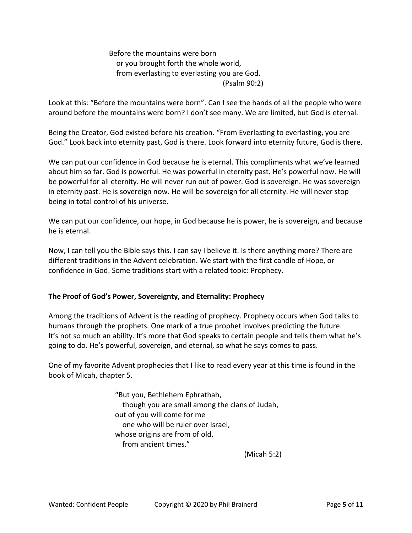Before the mountains were born or you brought forth the whole world, from everlasting to everlasting you are God. (Psalm 90:2)

Look at this: "Before the mountains were born". Can I see the hands of all the people who were around before the mountains were born? I don't see many. We are limited, but God is eternal.

Being the Creator, God existed before his creation. "From Everlasting to everlasting, you are God." Look back into eternity past, God is there. Look forward into eternity future, God is there.

We can put our confidence in God because he is eternal. This compliments what we've learned about him so far. God is powerful. He was powerful in eternity past. He's powerful now. He will be powerful for all eternity. He will never run out of power. God is sovereign. He was sovereign in eternity past. He is sovereign now. He will be sovereign for all eternity. He will never stop being in total control of his universe.

We can put our confidence, our hope, in God because he is power, he is sovereign, and because he is eternal.

Now, I can tell you the Bible says this. I can say I believe it. Is there anything more? There are different traditions in the Advent celebration. We start with the first candle of Hope, or confidence in God. Some traditions start with a related topic: Prophecy.

# **The Proof of God's Power, Sovereignty, and Eternality: Prophecy**

Among the traditions of Advent is the reading of prophecy. Prophecy occurs when God talks to humans through the prophets. One mark of a true prophet involves predicting the future. It's not so much an ability. It's more that God speaks to certain people and tells them what he's going to do. He's powerful, sovereign, and eternal, so what he says comes to pass.

One of my favorite Advent prophecies that I like to read every year at this time is found in the book of Micah, chapter 5.

> "But you, Bethlehem Ephrathah, though you are small among the clans of Judah, out of you will come for me one who will be ruler over Israel, whose origins are from of old, from ancient times."

> > (Micah 5:2)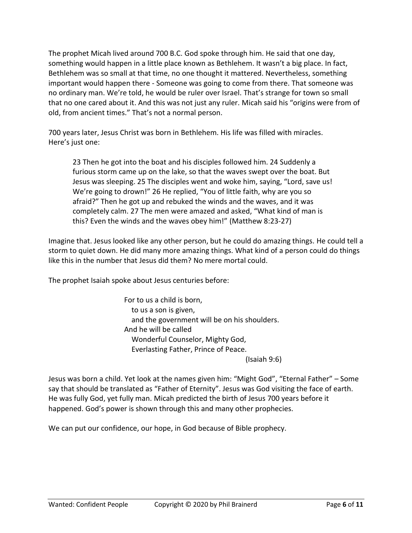The prophet Micah lived around 700 B.C. God spoke through him. He said that one day, something would happen in a little place known as Bethlehem. It wasn't a big place. In fact, Bethlehem was so small at that time, no one thought it mattered. Nevertheless, something important would happen there - Someone was going to come from there. That someone was no ordinary man. We're told, he would be ruler over Israel. That's strange for town so small that no one cared about it. And this was not just any ruler. Micah said his "origins were from of old, from ancient times." That's not a normal person.

700 years later, Jesus Christ was born in Bethlehem. His life was filled with miracles. Here's just one:

23 Then he got into the boat and his disciples followed him. 24 Suddenly a furious storm came up on the lake, so that the waves swept over the boat. But Jesus was sleeping. 25 The disciples went and woke him, saying, "Lord, save us! We're going to drown!" 26 He replied, "You of little faith, why are you so afraid?" Then he got up and rebuked the winds and the waves, and it was completely calm. 27 The men were amazed and asked, "What kind of man is this? Even the winds and the waves obey him!" (Matthew 8:23-27)

Imagine that. Jesus looked like any other person, but he could do amazing things. He could tell a storm to quiet down. He did many more amazing things. What kind of a person could do things like this in the number that Jesus did them? No mere mortal could.

The prophet Isaiah spoke about Jesus centuries before:

For to us a child is born, to us a son is given, and the government will be on his shoulders. And he will be called Wonderful Counselor, Mighty God, Everlasting Father, Prince of Peace.

(Isaiah 9:6)

Jesus was born a child. Yet look at the names given him: "Might God", "Eternal Father" – Some say that should be translated as "Father of Eternity". Jesus was God visiting the face of earth. He was fully God, yet fully man. Micah predicted the birth of Jesus 700 years before it happened. God's power is shown through this and many other prophecies.

We can put our confidence, our hope, in God because of Bible prophecy.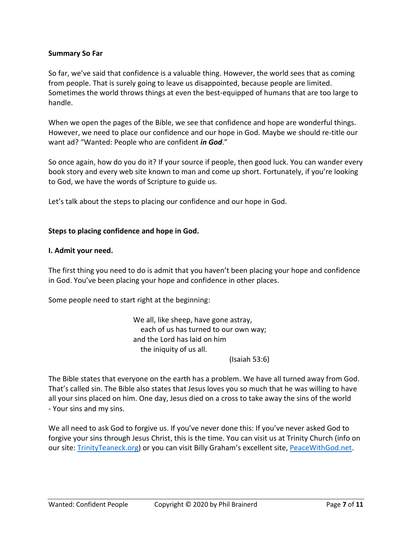#### **Summary So Far**

So far, we've said that confidence is a valuable thing. However, the world sees that as coming from people. That is surely going to leave us disappointed, because people are limited. Sometimes the world throws things at even the best-equipped of humans that are too large to handle.

When we open the pages of the Bible, we see that confidence and hope are wonderful things. However, we need to place our confidence and our hope in God. Maybe we should re-title our want ad? "Wanted: People who are confident *in God*."

So once again, how do you do it? If your source if people, then good luck. You can wander every book story and every web site known to man and come up short. Fortunately, if you're looking to God, we have the words of Scripture to guide us.

Let's talk about the steps to placing our confidence and our hope in God.

## **Steps to placing confidence and hope in God.**

#### **I. Admit your need.**

The first thing you need to do is admit that you haven't been placing your hope and confidence in God. You've been placing your hope and confidence in other places.

Some people need to start right at the beginning:

We all, like sheep, have gone astray, each of us has turned to our own way; and the Lord has laid on him the iniquity of us all.

(Isaiah 53:6)

The Bible states that everyone on the earth has a problem. We have all turned away from God. That's called sin. The Bible also states that Jesus loves you so much that he was willing to have all your sins placed on him. One day, Jesus died on a cross to take away the sins of the world - Your sins and my sins.

We all need to ask God to forgive us. If you've never done this: If you've never asked God to forgive your sins through Jesus Christ, this is the time. You can visit us at Trinity Church (info on our site: [TrinityTeaneck.org\)](https://trinityteaneck.org/MessagesOnline.html) or you can visit Billy Graham's excellent site[, PeaceWithGod.net.](https://peacewithgod.net/)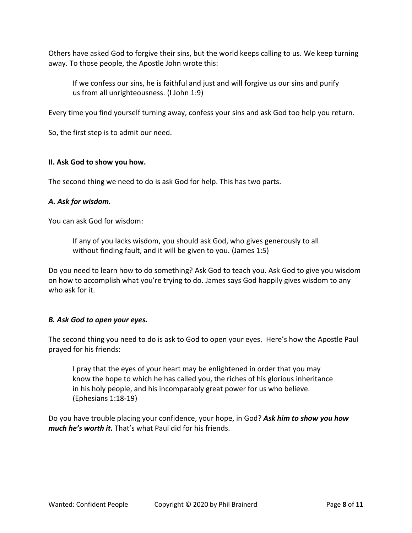Others have asked God to forgive their sins, but the world keeps calling to us. We keep turning away. To those people, the Apostle John wrote this:

If we confess our sins, he is faithful and just and will forgive us our sins and purify us from all unrighteousness. (I John 1:9)

Every time you find yourself turning away, confess your sins and ask God too help you return.

So, the first step is to admit our need.

# **II. Ask God to show you how.**

The second thing we need to do is ask God for help. This has two parts.

# *A. Ask for wisdom.*

You can ask God for wisdom:

If any of you lacks wisdom, you should ask God, who gives generously to all without finding fault, and it will be given to you. (James 1:5)

Do you need to learn how to do something? Ask God to teach you. Ask God to give you wisdom on how to accomplish what you're trying to do. James says God happily gives wisdom to any who ask for it.

# *B. Ask God to open your eyes.*

The second thing you need to do is ask to God to open your eyes. Here's how the Apostle Paul prayed for his friends:

I pray that the eyes of your heart may be enlightened in order that you may know the hope to which he has called you, the riches of his glorious inheritance in his holy people, and his incomparably great power for us who believe. (Ephesians 1:18-19)

Do you have trouble placing your confidence, your hope, in God? *Ask him to show you how much he's worth it.* That's what Paul did for his friends.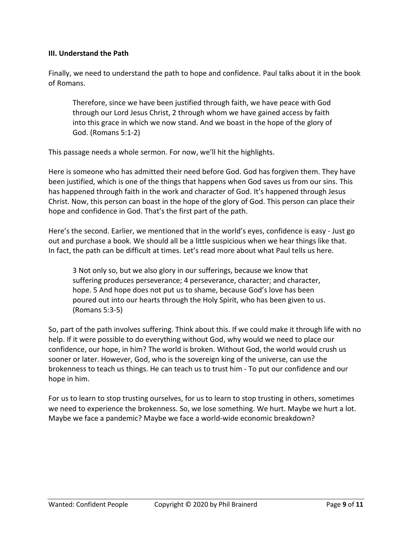## **III. Understand the Path**

Finally, we need to understand the path to hope and confidence. Paul talks about it in the book of Romans.

Therefore, since we have been justified through faith, we have peace with God through our Lord Jesus Christ, 2 through whom we have gained access by faith into this grace in which we now stand. And we boast in the hope of the glory of God. (Romans 5:1-2)

This passage needs a whole sermon. For now, we'll hit the highlights.

Here is someone who has admitted their need before God. God has forgiven them. They have been justified, which is one of the things that happens when God saves us from our sins. This has happened through faith in the work and character of God. It's happened through Jesus Christ. Now, this person can boast in the hope of the glory of God. This person can place their hope and confidence in God. That's the first part of the path.

Here's the second. Earlier, we mentioned that in the world's eyes, confidence is easy - Just go out and purchase a book. We should all be a little suspicious when we hear things like that. In fact, the path can be difficult at times. Let's read more about what Paul tells us here.

3 Not only so, but we also glory in our sufferings, because we know that suffering produces perseverance; 4 perseverance, character; and character, hope. 5 And hope does not put us to shame, because God's love has been poured out into our hearts through the Holy Spirit, who has been given to us. (Romans 5:3-5)

So, part of the path involves suffering. Think about this. If we could make it through life with no help. If it were possible to do everything without God, why would we need to place our confidence, our hope, in him? The world is broken. Without God, the world would crush us sooner or later. However, God, who is the sovereign king of the universe, can use the brokenness to teach us things. He can teach us to trust him - To put our confidence and our hope in him.

For us to learn to stop trusting ourselves, for us to learn to stop trusting in others, sometimes we need to experience the brokenness. So, we lose something. We hurt. Maybe we hurt a lot. Maybe we face a pandemic? Maybe we face a world-wide economic breakdown?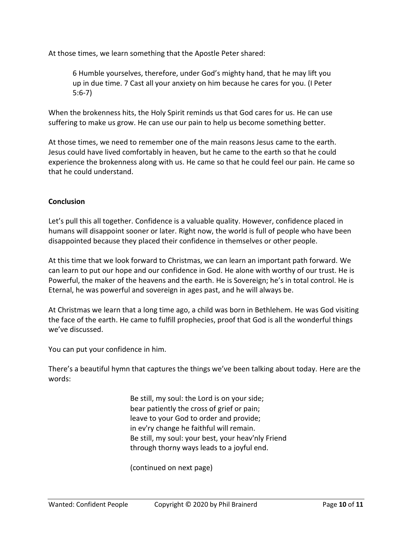At those times, we learn something that the Apostle Peter shared:

6 Humble yourselves, therefore, under God's mighty hand, that he may lift you up in due time. 7 Cast all your anxiety on him because he cares for you. (I Peter 5:6-7)

When the brokenness hits, the Holy Spirit reminds us that God cares for us. He can use suffering to make us grow. He can use our pain to help us become something better.

At those times, we need to remember one of the main reasons Jesus came to the earth. Jesus could have lived comfortably in heaven, but he came to the earth so that he could experience the brokenness along with us. He came so that he could feel our pain. He came so that he could understand.

#### **Conclusion**

Let's pull this all together. Confidence is a valuable quality. However, confidence placed in humans will disappoint sooner or later. Right now, the world is full of people who have been disappointed because they placed their confidence in themselves or other people.

At this time that we look forward to Christmas, we can learn an important path forward. We can learn to put our hope and our confidence in God. He alone with worthy of our trust. He is Powerful, the maker of the heavens and the earth. He is Sovereign; he's in total control. He is Eternal, he was powerful and sovereign in ages past, and he will always be.

At Christmas we learn that a long time ago, a child was born in Bethlehem. He was God visiting the face of the earth. He came to fulfill prophecies, proof that God is all the wonderful things we've discussed.

You can put your confidence in him.

There's a beautiful hymn that captures the things we've been talking about today. Here are the words:

> Be still, my soul: the Lord is on your side; bear patiently the cross of grief or pain; leave to your God to order and provide; in ev'ry change he faithful will remain. Be still, my soul: your best, your heav'nly Friend through thorny ways leads to a joyful end.

(continued on next page)